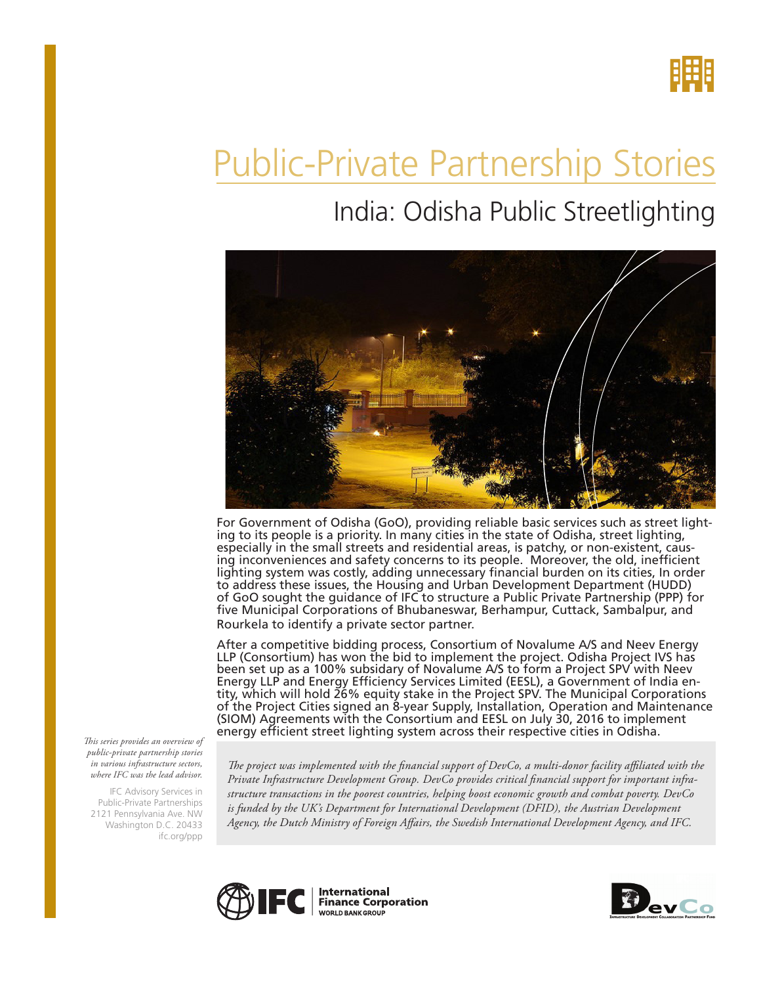

# Public-Private Partnership Stories

# India: Odisha Public Streetlighting



For Government of Odisha (GoO), providing reliable basic services such as street light-<br>ing to its people is a priority. In many cities in the state of Odisha, street lighting, especially in the small streets and residential areas, is patchy, or non-existent, caus- ing inconveniences and safety concerns to its people. Moreover, the old, inefficient lighting system was costly, adding unnecessary financial burden on its cities, In order to address these issues, the Housing and Urban Development Department (HUDD) of GoO sought the guidance of IFC to structure a Public Private Partnership (PPP) for five Municipal Corporations of Bhubaneswar, Berhampur, Cuttack, Sambalpur, and Rourkela to identify a private sector partner.

After a competitive bidding process, Consortium of Novalume A/S and Neev Energy LLP (Consortium) has won the bid to implement the project. Odisha Project IVS has been set up as a 100% subsidary of Novalume A/S to form a Project SPV with Neev Energy LLP and Energy Efficiency Services Limited (EESL), a Government of India entity, which will hold 26% equity stake in the Project SPV. The Municipal Corporations of the Project Cities signed an 8-year Supply, Installation, Operation and Maintenance (SIOM) Agreements with the Consortium and EESL on July 30, 2016 to implement energy efficient street lighting system across their respective cities in Odisha.

*This series provides an overview of public-private partnership stories in various infrastructure sectors, where IFC was the lead advisor.* 

IFC Advisory Services in Public-Private Partnerships 2121 Pennsylvania Ave. NW Washington D.C. 20433 ifc.org/ppp

*The project was implemented with the financial support of DevCo, a multi-donor facility affiliated with the Private Infrastructure Development Group. DevCo provides critical financial support for important infrastructure transactions in the poorest countries, helping boost economic growth and combat poverty. DevCo*  is funded by the UK's Department for International Development (DFID), the Austrian Development *Agency, the Dutch Ministry of Foreign Affairs, the Swedish International Development Agency, and IFC.*